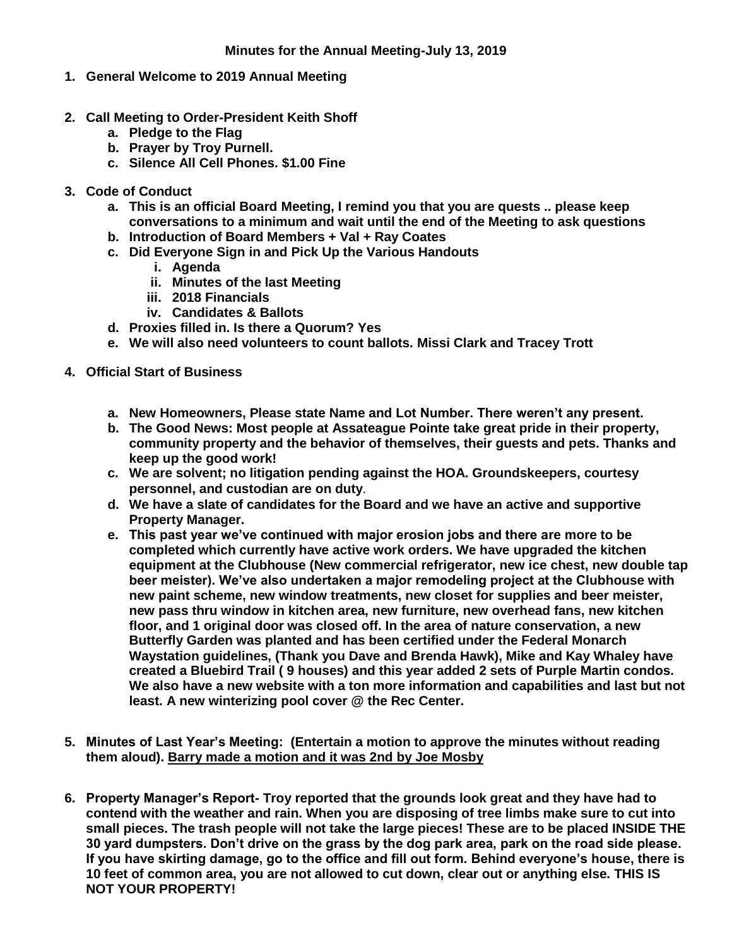- **1. General Welcome to 2019 Annual Meeting**
- **2. Call Meeting to Order-President Keith Shoff**
	- **a. Pledge to the Flag**
	- **b. Prayer by Troy Purnell.**
	- **c. Silence All Cell Phones. \$1.00 Fine**
- **3. Code of Conduct**
	- **a. This is an official Board Meeting, I remind you that you are quests .. please keep conversations to a minimum and wait until the end of the Meeting to ask questions**
	- **b. Introduction of Board Members + Val + Ray Coates**
	- **c. Did Everyone Sign in and Pick Up the Various Handouts**
		- **i. Agenda**
		- **ii. Minutes of the last Meeting**
		- **iii. 2018 Financials**
		- **iv. Candidates & Ballots**
	- **d. Proxies filled in. Is there a Quorum? Yes**
	- **e. We will also need volunteers to count ballots. Missi Clark and Tracey Trott**
- **4. Official Start of Business**
	- **a. New Homeowners, Please state Name and Lot Number. There weren't any present.**
	- **b. The Good News: Most people at Assateague Pointe take great pride in their property, community property and the behavior of themselves, their guests and pets. Thanks and keep up the good work!**
	- **c. We are solvent; no litigation pending against the HOA. Groundskeepers, courtesy personnel, and custodian are on duty**.
	- **d. We have a slate of candidates for the Board and we have an active and supportive Property Manager.**
	- **e. This past year we've continued with major erosion jobs and there are more to be completed which currently have active work orders. We have upgraded the kitchen equipment at the Clubhouse (New commercial refrigerator, new ice chest, new double tap beer meister). We've also undertaken a major remodeling project at the Clubhouse with new paint scheme, new window treatments, new closet for supplies and beer meister, new pass thru window in kitchen area, new furniture, new overhead fans, new kitchen floor, and 1 original door was closed off. In the area of nature conservation, a new Butterfly Garden was planted and has been certified under the Federal Monarch Waystation guidelines, (Thank you Dave and Brenda Hawk), Mike and Kay Whaley have created a Bluebird Trail ( 9 houses) and this year added 2 sets of Purple Martin condos. We also have a new website with a ton more information and capabilities and last but not least. A new winterizing pool cover @ the Rec Center.**
- **5. Minutes of Last Year's Meeting: (Entertain a motion to approve the minutes without reading them aloud). Barry made a motion and it was 2nd by Joe Mosby**
- **6. Property Manager's Report- Troy reported that the grounds look great and they have had to contend with the weather and rain. When you are disposing of tree limbs make sure to cut into small pieces. The trash people will not take the large pieces! These are to be placed INSIDE THE 30 yard dumpsters. Don't drive on the grass by the dog park area, park on the road side please. If you have skirting damage, go to the office and fill out form. Behind everyone's house, there is 10 feet of common area, you are not allowed to cut down, clear out or anything else. THIS IS NOT YOUR PROPERTY!**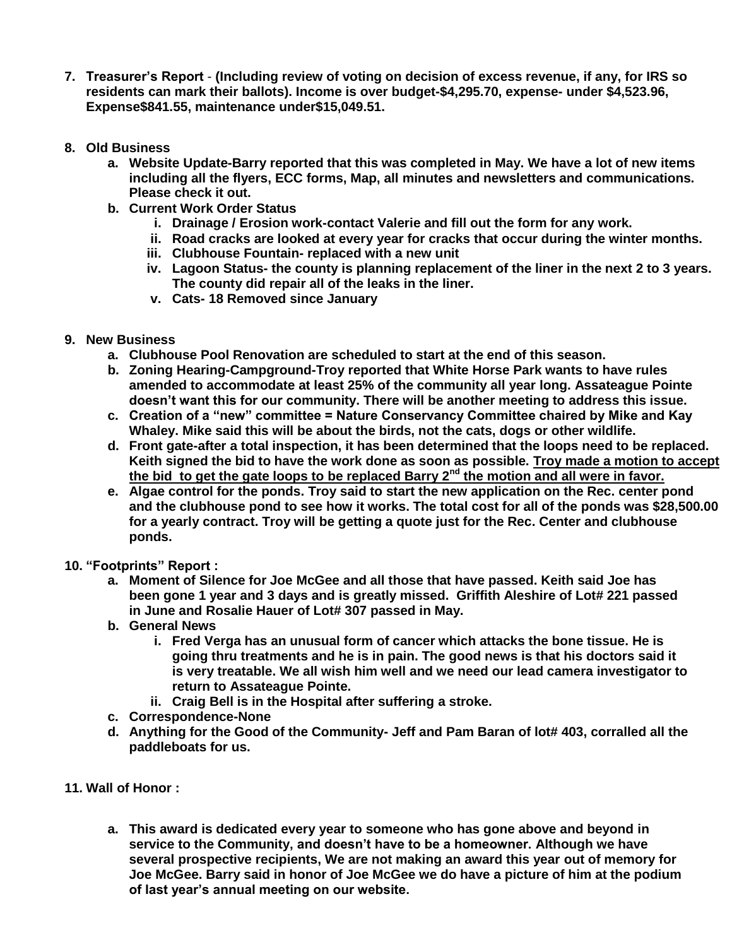- **7. Treasurer's Report (Including review of voting on decision of excess revenue, if any, for IRS so residents can mark their ballots). Income is over budget-\$4,295.70, expense- under \$4,523.96, Expense\$841.55, maintenance under\$15,049.51.**
- **8. Old Business**
	- **a. Website Update-Barry reported that this was completed in May. We have a lot of new items including all the flyers, ECC forms, Map, all minutes and newsletters and communications. Please check it out.**
	- **b. Current Work Order Status**
		- **i. Drainage / Erosion work-contact Valerie and fill out the form for any work.**
		- **ii. Road cracks are looked at every year for cracks that occur during the winter months.**
		- **iii. Clubhouse Fountain- replaced with a new unit**
		- **iv. Lagoon Status- the county is planning replacement of the liner in the next 2 to 3 years. The county did repair all of the leaks in the liner.**
		- **v. Cats- 18 Removed since January**
- **9. New Business**
	- **a. Clubhouse Pool Renovation are scheduled to start at the end of this season.**
	- **b. Zoning Hearing-Campground-Troy reported that White Horse Park wants to have rules amended to accommodate at least 25% of the community all year long. Assateague Pointe doesn't want this for our community. There will be another meeting to address this issue.**
	- **c. Creation of a "new" committee = Nature Conservancy Committee chaired by Mike and Kay Whaley. Mike said this will be about the birds, not the cats, dogs or other wildlife.**
	- **d. Front gate-after a total inspection, it has been determined that the loops need to be replaced. Keith signed the bid to have the work done as soon as possible. Troy made a motion to accept the bid to get the gate loops to be replaced Barry 2nd the motion and all were in favor.**
	- **e. Algae control for the ponds. Troy said to start the new application on the Rec. center pond and the clubhouse pond to see how it works. The total cost for all of the ponds was \$28,500.00 for a yearly contract. Troy will be getting a quote just for the Rec. Center and clubhouse ponds.**
- **10. "Footprints" Report :**
	- **a. Moment of Silence for Joe McGee and all those that have passed. Keith said Joe has been gone 1 year and 3 days and is greatly missed. Griffith Aleshire of Lot# 221 passed in June and Rosalie Hauer of Lot# 307 passed in May.**
	- **b. General News**
		- **i. Fred Verga has an unusual form of cancer which attacks the bone tissue. He is going thru treatments and he is in pain. The good news is that his doctors said it is very treatable. We all wish him well and we need our lead camera investigator to return to Assateague Pointe.**
		- **ii. Craig Bell is in the Hospital after suffering a stroke.**
	- **c. Correspondence-None**
	- **d. Anything for the Good of the Community- Jeff and Pam Baran of lot# 403, corralled all the paddleboats for us.**
- **11. Wall of Honor :**
	- **a. This award is dedicated every year to someone who has gone above and beyond in service to the Community, and doesn't have to be a homeowner. Although we have several prospective recipients, We are not making an award this year out of memory for Joe McGee. Barry said in honor of Joe McGee we do have a picture of him at the podium of last year's annual meeting on our website.**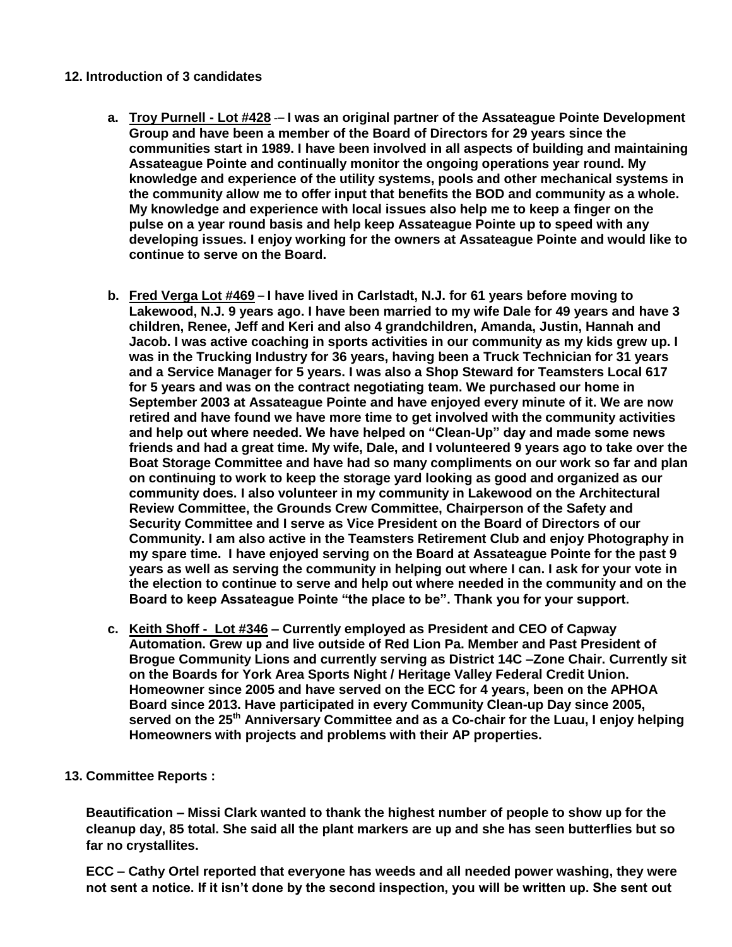## **12. Introduction of 3 candidates**

- **a. Troy Purnell - Lot #428** -– **I was an original partner of the Assateague Pointe Development Group and have been a member of the Board of Directors for 29 years since the communities start in 1989. I have been involved in all aspects of building and maintaining Assateague Pointe and continually monitor the ongoing operations year round. My knowledge and experience of the utility systems, pools and other mechanical systems in the community allow me to offer input that benefits the BOD and community as a whole. My knowledge and experience with local issues also help me to keep a finger on the pulse on a year round basis and help keep Assateague Pointe up to speed with any developing issues. I enjoy working for the owners at Assateague Pointe and would like to continue to serve on the Board.**
- **b. Fred Verga Lot #469 I have lived in Carlstadt, N.J. for 61 years before moving to Lakewood, N.J. 9 years ago. I have been married to my wife Dale for 49 years and have 3 children, Renee, Jeff and Keri and also 4 grandchildren, Amanda, Justin, Hannah and Jacob. I was active coaching in sports activities in our community as my kids grew up. I was in the Trucking Industry for 36 years, having been a Truck Technician for 31 years and a Service Manager for 5 years. I was also a Shop Steward for Teamsters Local 617 for 5 years and was on the contract negotiating team. We purchased our home in September 2003 at Assateague Pointe and have enjoyed every minute of it. We are now retired and have found we have more time to get involved with the community activities and help out where needed. We have helped on "Clean-Up" day and made some news friends and had a great time. My wife, Dale, and I volunteered 9 years ago to take over the Boat Storage Committee and have had so many compliments on our work so far and plan on continuing to work to keep the storage yard looking as good and organized as our community does. I also volunteer in my community in Lakewood on the Architectural Review Committee, the Grounds Crew Committee, Chairperson of the Safety and Security Committee and I serve as Vice President on the Board of Directors of our Community. I am also active in the Teamsters Retirement Club and enjoy Photography in my spare time. I have enjoyed serving on the Board at Assateague Pointe for the past 9 years as well as serving the community in helping out where I can. I ask for your vote in the election to continue to serve and help out where needed in the community and on the Board to keep Assateague Pointe "the place to be". Thank you for your support.**
- **c. Keith Shoff Lot #346 – Currently employed as President and CEO of Capway Automation. Grew up and live outside of Red Lion Pa. Member and Past President of Brogue Community Lions and currently serving as District 14C –Zone Chair. Currently sit on the Boards for York Area Sports Night / Heritage Valley Federal Credit Union. Homeowner since 2005 and have served on the ECC for 4 years, been on the APHOA Board since 2013. Have participated in every Community Clean-up Day since 2005, served on the 25th Anniversary Committee and as a Co-chair for the Luau, I enjoy helping Homeowners with projects and problems with their AP properties.**
- **13. Committee Reports :**

**Beautification – Missi Clark wanted to thank the highest number of people to show up for the cleanup day, 85 total. She said all the plant markers are up and she has seen butterflies but so far no crystallites.** 

**ECC – Cathy Ortel reported that everyone has weeds and all needed power washing, they were not sent a notice. If it isn't done by the second inspection, you will be written up. She sent out**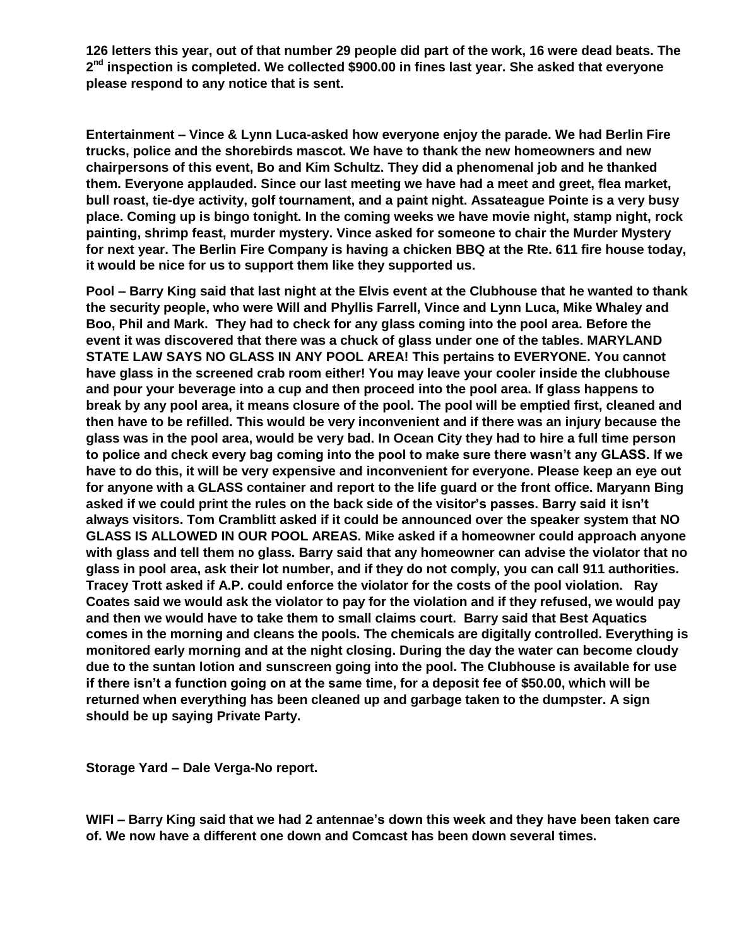**126 letters this year, out of that number 29 people did part of the work, 16 were dead beats. The 2 nd inspection is completed. We collected \$900.00 in fines last year. She asked that everyone please respond to any notice that is sent.**

**Entertainment – Vince & Lynn Luca-asked how everyone enjoy the parade. We had Berlin Fire trucks, police and the shorebirds mascot. We have to thank the new homeowners and new chairpersons of this event, Bo and Kim Schultz. They did a phenomenal job and he thanked them. Everyone applauded. Since our last meeting we have had a meet and greet, flea market, bull roast, tie-dye activity, golf tournament, and a paint night. Assateague Pointe is a very busy place. Coming up is bingo tonight. In the coming weeks we have movie night, stamp night, rock painting, shrimp feast, murder mystery. Vince asked for someone to chair the Murder Mystery for next year. The Berlin Fire Company is having a chicken BBQ at the Rte. 611 fire house today, it would be nice for us to support them like they supported us.**

**Pool – Barry King said that last night at the Elvis event at the Clubhouse that he wanted to thank the security people, who were Will and Phyllis Farrell, Vince and Lynn Luca, Mike Whaley and Boo, Phil and Mark. They had to check for any glass coming into the pool area. Before the event it was discovered that there was a chuck of glass under one of the tables. MARYLAND STATE LAW SAYS NO GLASS IN ANY POOL AREA! This pertains to EVERYONE. You cannot have glass in the screened crab room either! You may leave your cooler inside the clubhouse and pour your beverage into a cup and then proceed into the pool area. If glass happens to break by any pool area, it means closure of the pool. The pool will be emptied first, cleaned and then have to be refilled. This would be very inconvenient and if there was an injury because the glass was in the pool area, would be very bad. In Ocean City they had to hire a full time person to police and check every bag coming into the pool to make sure there wasn't any GLASS. If we have to do this, it will be very expensive and inconvenient for everyone. Please keep an eye out for anyone with a GLASS container and report to the life guard or the front office. Maryann Bing asked if we could print the rules on the back side of the visitor's passes. Barry said it isn't always visitors. Tom Cramblitt asked if it could be announced over the speaker system that NO GLASS IS ALLOWED IN OUR POOL AREAS. Mike asked if a homeowner could approach anyone with glass and tell them no glass. Barry said that any homeowner can advise the violator that no glass in pool area, ask their lot number, and if they do not comply, you can call 911 authorities. Tracey Trott asked if A.P. could enforce the violator for the costs of the pool violation. Ray Coates said we would ask the violator to pay for the violation and if they refused, we would pay and then we would have to take them to small claims court. Barry said that Best Aquatics comes in the morning and cleans the pools. The chemicals are digitally controlled. Everything is monitored early morning and at the night closing. During the day the water can become cloudy due to the suntan lotion and sunscreen going into the pool. The Clubhouse is available for use if there isn't a function going on at the same time, for a deposit fee of \$50.00, which will be returned when everything has been cleaned up and garbage taken to the dumpster. A sign should be up saying Private Party.**

**Storage Yard – Dale Verga-No report.** 

**WIFI – Barry King said that we had 2 antennae's down this week and they have been taken care of. We now have a different one down and Comcast has been down several times.**